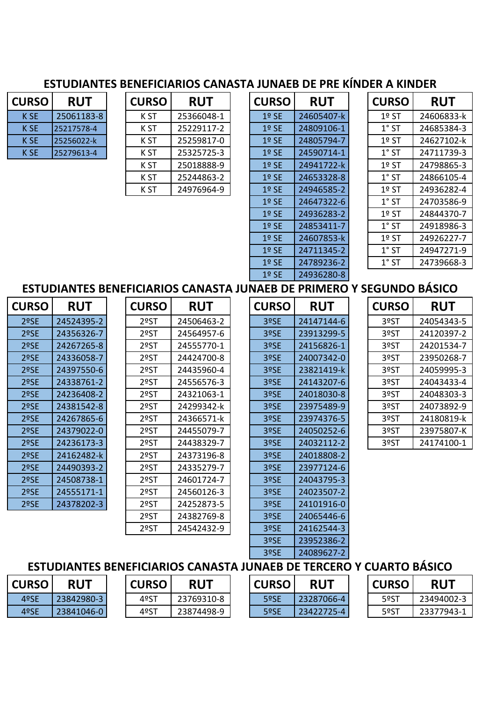# **ESTUDIANTES BENEFICIARIOS CANASTA JUNAEB DE PRE KÍNDER A KINDER**

| <b>CURSO</b> | <b>RUT</b> |
|--------------|------------|
| K SE         | 25061183-8 |
| K SE         | 25217578-4 |
| K SE         | 25256022-k |
| K SE         | 25279613-4 |

| <b>CURSO</b>    | <b>RUT</b> | <b>CURSO</b> | <b>RUT</b> | <b>CURSO</b> | <b>RUT</b> | <b>CURSO</b> | <b>RUT</b> |
|-----------------|------------|--------------|------------|--------------|------------|--------------|------------|
| K SE            | 25061183-8 | K ST         | 25366048-1 | $1°$ SE      | 24605407-k | $1°$ ST      | 24606833-k |
| K <sub>SE</sub> | 25217578-4 | K ST         | 25229117-2 | $1°$ SE      | 24809106-1 | $1°$ ST      | 24685384-3 |
| <b>KSE</b>      | 25256022-k | K ST         | 25259817-0 | $1°$ SE      | 24805794-7 | $1°$ ST      | 24627102-k |
| K <sub>SE</sub> | 25279613-4 | K ST         | 25325725-3 | $1°$ SE      | 24590714-1 | $1°$ ST      | 24711739-3 |
|                 |            | K ST         | 25018888-9 | $1°$ SE      | 24941722-k | $1°$ ST      | 24798865-3 |
|                 |            | K ST         | 25244863-2 | $1°$ SE      | 24653328-8 | $1°$ ST      | 24866105-4 |
|                 |            | K ST         | 24976964-9 | $1°$ SE      | 24946585-2 | $1°$ ST      | 24936282-4 |

| <b>CURSO</b> | RUT        |
|--------------|------------|
| 1º SE        | 24605407-k |
| 1º SE        | 24809106-1 |
| 1º SE        | 24805794-7 |
| 1º SE        | 24590714-1 |
| 1º SE        | 24941722-k |
| 1º SE        | 24653328-8 |
| 1º SE        | 24946585-2 |
| 1º SE        | 24647322-6 |
| 1º SE        | 24936283-2 |
| 1º SE        | 24853411-7 |
| 1º SE        | 24607853-k |
| 1º SE        | 24711345-2 |
| 1º SE        | 24789236-2 |
| 1º SE        | 24936280-8 |

| <b>JRSO</b> | <b>RUT</b> | <b>CURSO</b>                   | <b>RUT</b>  | <b>CURSO</b> | <b>RUT</b> |
|-------------|------------|--------------------------------|-------------|--------------|------------|
| K ST        | 25366048-1 | $1°$ SE                        | 24605407-k  | $1°$ ST      | 24606833-k |
| K ST        | 25229117-2 | $1°$ SE                        | 24809106-1  | $1°$ ST      | 24685384-3 |
| K ST        | 25259817-0 | $1°$ SE                        | 24805794-7  | $1°$ ST      | 24627102-k |
| K ST        | 25325725-3 | $1°$ SE                        | 24590714-1  | $1°$ ST      | 24711739-3 |
| K ST        | 25018888-9 | $1°$ SE                        | 24941722-k  | $1°$ ST      | 24798865-3 |
| K ST        | 25244863-2 | $1°$ SE                        | 24653328-8  | $1°$ ST      | 24866105-4 |
| K ST        | 24976964-9 | $1°$ SE                        | 24946585-2  | $1°$ ST      | 24936282-4 |
|             |            | $1°$ SE                        | 24647322-6  | $1^\circ$ ST | 24703586-9 |
|             |            | $1°$ SE                        | 24936283-2  | $1°$ ST      | 24844370-7 |
|             |            | $1°$ SE                        | 24853411-7  | $1°$ ST      | 24918986-3 |
|             |            | $1°$ SE                        | 24607853-k  | $1°$ ST      | 24926227-7 |
|             |            | $1°$ SE                        | 24711345-2  | $1^\circ$ ST | 24947271-9 |
|             |            | $1°$ SE                        | 24789236-2  | $1°$ ST      | 24739668-3 |
|             |            | $\lambda$ $\sim$ $\sim$ $\sim$ | s 1036300 p |              |            |

## **ESTUDIANTES BENEFICIARIOS CANASTA JUNAEB DE PRIMERO Y SEGUNDO BÁSICO**

| <b>CURSO</b> | <b>RUT</b> | <b>CURSO</b> | <b>RUT</b>          | <b>CURSO</b> | <b>RUT</b> | <b>CURSO</b> | <b>RUT</b> |
|--------------|------------|--------------|---------------------|--------------|------------|--------------|------------|
| 2ºSE         | 24524395-2 | 2ºST         | 24506463-2          | 3ºSE         | 24147144-6 | 3ºST         | 2405434    |
| 2ºSE         | 24356326-7 | 2ºST         | 24564957-6          | 3ºSE         | 23913299-5 | 3ºST         | 2412039    |
| 2ºSE         | 24267265-8 | 2ºST         | 24555770-1          | 3ºSE         | 24156826-1 | 3ºST         | 2420153    |
| 2ºSE         | 24336058-7 | 2ºST         | 24424700-8          | 3ºSE         | 24007342-0 | 3ºST         | 2395026    |
| 2ºSE         | 24397550-6 | 2ºST         | 24435960-4          | 3ºSE         | 23821419-k | 3ºST         | 2405999    |
| 2ºSE         | 24338761-2 | 2ºST         | 24556576-3          | 3ºSE         | 24143207-6 | 3ºST         | 2404343    |
| 2ºSE         | 24236408-2 | 2ºST         | 24321063-1          | 3ºSE         | 24018030-8 | 3ºST         | 2404830    |
| 2ºSE         | 24381542-8 | 2ºST         | 24299342-k          | 3ºSE         | 23975489-9 | 3ºST         | 2407389    |
| 2ºSE         | 24267865-6 | 2ºST         | 24366571-k          | 3ºSE         | 23974376-5 | 3ºST         | 2418081    |
| 2ºSE         | 24379022-0 | 2ºST         | 24455079-7          | 3ºSE         | 24050252-6 | 3ºST         | 2397580    |
| 2ºSE         | 24236173-3 | 2ºST         | 24438329-7          | 3ºSE         | 24032112-2 | 3ºST         | 2417410    |
| 2ºSE         | 24162482-k | 2ºST         | 24373196-8          | 3ºSE         | 24018808-2 |              |            |
| 2ºSE         | 24490393-2 | 2ºST         | 24335279-7          | 3ºSE         | 23977124-6 |              |            |
| 2ºSE         | 24508738-1 | 2ºST         | 24601724-7          | 3ºSE         | 24043795-3 |              |            |
| 2ºSE         | 24555171-1 | 2ºST         | 24560126-3          | 3ºSE         | 24023507-2 |              |            |
| 2ºSE         | 24378202-3 | 2ºST         | 24252873-5          | 3ºSE         | 24101916-0 |              |            |
|              |            | <b>DOCT</b>  | ם ה <i>אדר</i> סרור | 200E         | CANCEAAC C |              |            |

| <b>JRSO</b> | <b>RUT</b> | <b>CURSO</b> | <b>RUT</b> | <b>CURSO</b> | <b>RUT</b> | <b>CURSO</b> | <b>RUT</b> |
|-------------|------------|--------------|------------|--------------|------------|--------------|------------|
| 2ºSE        | 24524395-2 | 2ºST         | 24506463-2 | 3ºSE         | 24147144-6 | 3ºST         | 24054343-5 |
| 2ºSE        | 24356326-7 | 2ºST         | 24564957-6 | 3ºSE         | 23913299-5 | 3ºST         | 24120397-2 |
| 2ºSE        | 24267265-8 | 2ºST         | 24555770-1 | 3ºSE         | 24156826-1 | 3ºST         | 24201534-7 |
| 2ºSE        | 24336058-7 | 2ºST         | 24424700-8 | 3ºSE         | 24007342-0 | 3ºST         | 23950268-7 |
| 2ºSE        | 24397550-6 | 2ºST         | 24435960-4 | 3ºSE         | 23821419-k | 3ºST         | 24059995-3 |
| 2ºSE        | 24338761-2 | 2ºST         | 24556576-3 | 3ºSE         | 24143207-6 | 3ºST         | 24043433-4 |
| 2ºSE        | 24236408-2 | 2ºST         | 24321063-1 | 3ºSE         | 24018030-8 | 3ºST         | 24048303-3 |
| 2ºSE        | 24381542-8 | 2ºST         | 24299342-k | 3ºSE         | 23975489-9 | 3ºST         | 24073892-9 |
| 2ºSE        | 24267865-6 | 2ºST         | 24366571-k | 3ºSE         | 23974376-5 | 3ºST         | 24180819-k |
| 2ºSE        | 24379022-0 | 2ºST         | 24455079-7 | 3ºSE         | 24050252-6 | 3ºST         | 23975807-K |
| 2ºSE        | 24236173-3 | 2ºST         | 24438329-7 | 3ºSE         | 24032112-2 | 3ºST         | 24174100-1 |
| 2ºSE        | 24162482-k | 2ºST         | 24373196-8 | 3ºSE         | 24018808-2 |              |            |
| 2ºSE        | 24490393-2 | 2ºST         | 24335279-7 | 3ºSE         | 23977124-6 |              |            |
| 2ºSE        | 24508738-1 | 2ºST         | 24601724-7 | 3ºSE         | 24043795-3 |              |            |
| 2ºSE        | 24555171-1 | 2ºST         | 24560126-3 | 3ºSE         | 24023507-2 |              |            |
| 2ºSE        | 24378202-3 | 2ºST         | 24252873-5 | 3ºSE         | 24101916-0 |              |            |
|             |            | 2ºST         | 24382769-8 | 3ºSE         | 24065446-6 |              |            |
|             |            | 2ºST         | 24542432-9 | 3ºSE         | 24162544-3 |              |            |
|             |            |              |            |              |            |              |            |

| <b>JRSO</b> | <b>RUT</b> | <b>CURSO</b> | <b>RUT</b> |
|-------------|------------|--------------|------------|
| 2ºST        | 24506463-2 | 3ºSE         | 24147144-6 |
| 2ºST        | 24564957-6 | 3ºSE         | 23913299-5 |
| 2ºST        | 24555770-1 | 3ºSE         | 24156826-1 |
| 2ºST        | 24424700-8 | 3ºSE         | 24007342-0 |
| 2ºST        | 24435960-4 | 3ºSE         | 23821419-k |
| 2ºST        | 24556576-3 | 3ºSE         | 24143207-6 |
| 2ºST        | 24321063-1 | 3ºSE         | 24018030-8 |
| 2ºST        | 24299342-k | 3ºSE         | 23975489-9 |
| 2ºST        | 24366571-k | 3ºSE         | 23974376-5 |
| 2ºST        | 24455079-7 | 3ºSE         | 24050252-6 |
| 2ºST        | 24438329-7 | 3ºSE         | 24032112-2 |
| 2ºST        | 24373196-8 | 3ºSE         | 24018808-2 |
| 2ºST        | 24335279-7 | 3ºSE         | 23977124-6 |
| 2ºST        | 24601724-7 | 3ºSE         | 24043795-3 |
| 2ºST        | 24560126-3 | 3ºSE         | 24023507-2 |
| 2ºST        | 24252873-5 | 3ºSE         | 24101916-0 |
| 2ºST        | 24382769-8 | 3ºSE         | 24065446-6 |
| 2ºST        | 24542432-9 | 3ºSE         | 24162544-3 |
|             |            | 3ºSE         | 23952386-2 |
|             |            | 3ºSE         | 24089627-2 |

| <b>CURSO</b> | <b>RUT</b> |
|--------------|------------|
| 3ºST         | 24054343-5 |
| 3ºST         | 24120397-2 |
| 3ºST         | 24201534-7 |
| 3ºST         | 23950268-7 |
| 3ºST         | 24059995-3 |
| 3ºST         | 24043433-4 |
| 3ºST         | 24048303-3 |
| 3ºST         | 24073892-9 |
| 3ºST         | 24180819-k |
| 3ºST         | 23975807-K |
| 3ºST         | 24174100-1 |

## **ESTUDIANTES BENEFICIARIOS CANASTA JUNAEB DE TERCERO Y CUARTO BÁSICO**

| CURSO | <b>RUT</b> | <b>CURSO</b> | <b>RUT</b> | <b>CURSO</b> | <b>RUT</b> | <b>CURSO</b> | <b>RUT</b> |
|-------|------------|--------------|------------|--------------|------------|--------------|------------|
| 4ºSE  | 23842980-3 | 4ºS1         | 23769310-8 | 5ºSE         | 23287066-4 | 5ºST         | 23494002-3 |
| 4ºSE  | 23841046-0 | 4ºS1         | 23874498-9 | 5ºSE         | 23422725-4 | 5ºS1         | 23377943-1 |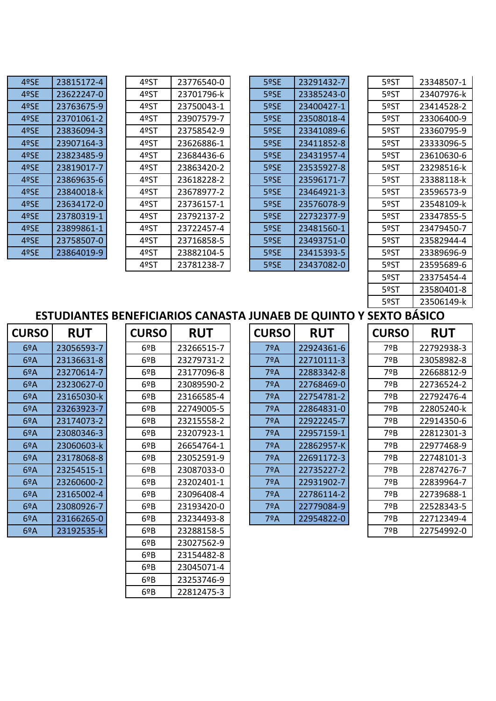| 4ºSE | 23815172-4 |
|------|------------|
| 4ºSE | 23622247-0 |
| 4ºSE | 23763675-9 |
| 4ºSE | 23701061-2 |
| 4ºSE | 23836094-3 |
| 4ºSE | 23907164-3 |
| 4ºSE | 23823485-9 |
| 4ºSE | 23819017-7 |
| 4ºSE | 23869635-6 |
| 4ºSE | 23840018-k |
| 4ºSE | 23634172-0 |
| 4ºSE | 23780319-1 |
| 4ºSE | 23899861-1 |
| 4ºSE | 23758507-0 |
| 4ºSE | 23864019-9 |

| 4ºSE | 23815172-4 | 4ºST | 23776540-0 | 5ºSE | 23291432-7 | 5ºST | 23348507-1 |
|------|------------|------|------------|------|------------|------|------------|
| 4ºSE | 23622247-0 | 4ºST | 23701796-k | 5ºSE | 23385243-0 | 5ºST | 23407976-k |
| 4ºSE | 23763675-9 | 4ºST | 23750043-1 | 5ºSE | 23400427-1 | 5ºST | 23414528-2 |
| 4ºSE | 23701061-2 | 4ºST | 23907579-7 | 5ºSE | 23508018-4 | 5ºST | 23306400-9 |
| 4ºSE | 23836094-3 | 4ºST | 23758542-9 | 5ºSE | 23341089-6 | 5ºST | 23360795-9 |
| 4ºSE | 23907164-3 | 4ºST | 23626886-1 | 5ºSE | 23411852-8 | 5ºST | 23333096-5 |
| 4ºSE | 23823485-9 | 4ºST | 23684436-6 | 5ºSE | 23431957-4 | 5ºST | 23610630-6 |
| 4ºSE | 23819017-7 | 4ºST | 23863420-2 | 5ºSE | 23535927-8 | 5ºST | 23298516-k |
| 4ºSE | 23869635-6 | 4ºST | 23618228-2 | 5ºSE | 23596171-7 | 5ºST | 23388118-k |
| 4ºSE | 23840018-k | 4ºST | 23678977-2 | 5ºSE | 23464921-3 | 5ºST | 23596573-9 |
| 4ºSE | 23634172-0 | 4ºST | 23736157-1 | 5ºSE | 23576078-9 | 5ºST | 23548109-k |
| 4ºSE | 23780319-1 | 4ºST | 23792137-2 | 5ºSE | 22732377-9 | 5ºST | 23347855-5 |
| 4ºSE | 23899861-1 | 4ºST | 23722457-4 | 5ºSE | 23481560-1 | 5ºST | 23479450-7 |
| 4ºSE | 23758507-0 | 4ºST | 23716858-5 | 5ºSE | 23493751-0 | 5ºST | 23582944-4 |
| 4ºSE | 23864019-9 | 4ºST | 23882104-5 | 5ºSE | 23415393-5 | 5ºST | 23389696-9 |
|      |            | 4ºST | 23781238-7 | 5ºSE | 23437082-0 | 5ºST | 23595689-6 |

| 5ºSE | 23291432-7 |
|------|------------|
| 5ºSE | 23385243-0 |
| 5ºSE | 23400427-1 |
| 5ºSE | 23508018-4 |
| 5ºSE | 23341089-6 |
| 5ºSE | 23411852-8 |
| 5ºSE | 23431957-4 |
| 5ºSE | 23535927-8 |
| 5ºSE | 23596171-7 |
| 5ºSE | 23464921-3 |
| 5ºSE | 23576078-9 |
| 5ºSE | 22732377-9 |
| 5ºSE | 23481560-1 |
| 5ºSE | 23493751-0 |
| 5ºSE | 23415393-5 |
| 5ºSE | 23437082-0 |
|      |            |

| 4ºST | 23776540-0 | 5ºSE | 23291432-7 | 5ºST | 23348507-1 |
|------|------------|------|------------|------|------------|
| 4ºST | 23701796-k | 5ºSE | 23385243-0 | 5ºST | 23407976-k |
| 4ºST | 23750043-1 | 5ºSE | 23400427-1 | 5ºST | 23414528-2 |
| 4ºST | 23907579-7 | 5ºSE | 23508018-4 | 5ºST | 23306400-9 |
| 4ºST | 23758542-9 | 5ºSE | 23341089-6 | 5ºST | 23360795-9 |
| 4ºST | 23626886-1 | 5ºSE | 23411852-8 | 5ºST | 23333096-5 |
| 4ºST | 23684436-6 | 5ºSE | 23431957-4 | 5ºST | 23610630-6 |
| 4ºST | 23863420-2 | 5ºSE | 23535927-8 | 5ºST | 23298516-k |
| 4ºST | 23618228-2 | 5ºSE | 23596171-7 | 5ºST | 23388118-k |
| 4ºST | 23678977-2 | 5ºSE | 23464921-3 | 5ºST | 23596573-9 |
| 4ºST | 23736157-1 | 5ºSE | 23576078-9 | 5ºST | 23548109-k |
| 4ºST | 23792137-2 | 5ºSE | 22732377-9 | 5ºST | 23347855-5 |
| 4ºST | 23722457-4 | 5ºSE | 23481560-1 | 5ºST | 23479450-7 |
| 4ºST | 23716858-5 | 5ºSE | 23493751-0 | 5ºST | 23582944-4 |
| 4ºST | 23882104-5 | 5ºSE | 23415393-5 | 5ºST | 23389696-9 |
| 4ºST | 23781238-7 | 5ºSE | 23437082-0 | 5ºST | 23595689-6 |
|      |            |      |            | 5ºST | 23375454-4 |
|      |            |      |            | 5ºST | 23580401-8 |
|      |            |      |            | 5ºST | 23506149-k |
|      |            |      |            |      |            |

## **ESTUDIANTES BENEFICIARIOS CANASTA JUNAEB DE QUINTO Y SEXTO BÁSICO**

| <b>CURSO</b> | <b>RUT</b> |
|--------------|------------|
| 6ºA          | 23056593-7 |
| 6ºA          | 23136631-8 |
| 6ºA          | 23270614-7 |
| 6ºA          | 23230627-0 |
| 6ºА          | 23165030-k |
| 6ºA          | 23263923-7 |
| 6ºA          | 23174073-2 |
| 6ºA          | 23080346-3 |
| 6ºA          | 23060603-k |
| 6ºA          | 23178068-8 |
| 6ºA          | 23254515-1 |
| 6ºA          | 23260600-2 |
| 6ºA          | 23165002-4 |
| 6ºA          | 23080926-7 |
| 6ºA          | 23166265-0 |
| 6ºA          | 23192535-k |

| <b>JRSO</b>   | <b>RUT</b> | <b>CURSO</b> | <b>RUT</b> | <b>CURSO</b> | <b>RUT</b> | <b>CURSO</b> | <b>RUT</b> |
|---------------|------------|--------------|------------|--------------|------------|--------------|------------|
| 69A           | 23056593-7 | 6ºB          | 23266515-7 | 7ºA          | 22924361-6 | 7ºB          | 22792938-3 |
| 69A           | 23136631-8 | 6ºB          | 23279731-2 | 7ºA          | 22710111-3 | 7ºB          | 23058982-8 |
| 69A           | 23270614-7 | 69B          | 23177096-8 | 7ºA          | 22883342-8 | 7ºB          | 22668812-9 |
| 69A           | 23230627-0 | $6^{\circ}B$ | 23089590-2 | 7ºA          | 22768469-0 | 7ºB          | 22736524-2 |
| $6^{\circ}$ A | 23165030-k | $6^{\circ}B$ | 23166585-4 | 7ºA          | 22754781-2 | 7ºB          | 22792476-4 |
| $6^{\circ}$ A | 23263923-7 | 6ºB          | 22749005-5 | 7ºA          | 22864831-0 | 7ºB          | 22805240-k |
| $6^{\circ}$ A | 23174073-2 | 69B          | 23215558-2 | 7ºA          | 22922245-7 | 7ºB          | 22914350-6 |
| $6^{\circ}$ A | 23080346-3 | $6^{\circ}B$ | 23207923-1 | 7ºA          | 22957159-1 | 7ºB          | 22812301-3 |
| $6^{\circ}$ A | 23060603-k | $6^{\circ}B$ | 26654764-1 | 7ºA          | 22862957-K | 7ºB          | 22977468-9 |
| 69A           | 23178068-8 | 69B          | 23052591-9 | 7ºA          | 22691172-3 | 7ºB          | 22748101-3 |
| 69A           | 23254515-1 | 6ºB          | 23087033-0 | 7ºA          | 22735227-2 | 7ºB          | 22874276-7 |
| 69A           | 23260600-2 | $6^{\circ}B$ | 23202401-1 | 7ºA          | 22931902-7 | 7ºB          | 22839964-7 |
| 69A           | 23165002-4 | $6^{\circ}B$ | 23096408-4 | 7ºA          | 22786114-2 | 7ºB          | 22739688-1 |
| 69A           | 23080926-7 | $6^{\circ}B$ | 23193420-0 | 7ºA          | 22779084-9 | 7ºB          | 22528343-5 |
| $6^{\circ}$ A | 23166265-0 | 6ºB          | 23234493-8 | 7ºA          | 22954822-0 | 7ºB          | 22712349-4 |
| 69A           | 23192535-k | 69B          | 23288158-5 |              |            | 7ºB          | 22754992-0 |
|               |            | $6^{\circ}B$ | 23027562-9 |              |            |              |            |
|               |            | $6^{\circ}B$ | 23154482-8 |              |            |              |            |
|               |            | 6ºB          | 23045071-4 |              |            |              |            |
|               |            | $6^{\circ}B$ | 23253746-9 |              |            |              |            |
|               |            | $6^{\circ}B$ | 22812475-3 |              |            |              |            |

| <b>CURSO</b>  | <b>RUT</b> | <b>CURSO</b> | <b>RUT</b> | <b>CURSO</b> | <b>RUT</b> | <b>CURSO</b> | <b>RUT</b> |
|---------------|------------|--------------|------------|--------------|------------|--------------|------------|
| $6^{\circ}$ A | 23056593-7 | 69B          | 23266515-7 | 7ºA          | 22924361-6 | 7ºB          | 2279293    |
| $6^{\circ}$ A | 23136631-8 | $6^{\circ}B$ | 23279731-2 | 7ºA          | 22710111-3 | 7ºB          | 2305898    |
| 69A           | 23270614-7 | 69B          | 23177096-8 | 7ºA          | 22883342-8 | 7ºB          | 2266881    |
| 69A           | 23230627-0 | $6^{\circ}B$ | 23089590-2 | 7ºA          | 22768469-0 | 7ºB          | 2273652    |
| 69A           | 23165030-k | 69B          | 23166585-4 | 7ºA          | 22754781-2 | 7ºB          | 2279247    |
| 69A           | 23263923-7 | $6^{\circ}B$ | 22749005-5 | 7ºA          | 22864831-0 | 7ºB          | 2280524    |
| 69A           | 23174073-2 | $6^{\circ}B$ | 23215558-2 | 7ºA          | 22922245-7 | 7ºB          | 2291435    |
| 69A           | 23080346-3 | 69B          | 23207923-1 | 7ºA          | 22957159-1 | 7ºB          | 2281230    |
| 69A           | 23060603-k | 69B          | 26654764-1 | 7ºA          | 22862957-K | 7ºB          | 2297746    |
| 69A           | 23178068-8 | $6^{\circ}B$ | 23052591-9 | 7ºA          | 22691172-3 | 7ºB          | 2274810    |
| $6^{\circ}$ A | 23254515-1 | $6^{\circ}B$ | 23087033-0 | 7ºA          | 22735227-2 | 7ºB          | 2287427    |
| 69A           | 23260600-2 | 69B          | 23202401-1 | 7ºA          | 22931902-7 | 7ºB          | 2283996    |
| 69A           | 23165002-4 | 69B          | 23096408-4 | 7ºA          | 22786114-2 | 7ºB          | 2273968    |
| $6^{\circ}$ A | 23080926-7 | $6^{\circ}B$ | 23193420-0 | 7ºA          | 22779084-9 | 7ºB          | 2252834    |
| 69A           | 23166265-0 | $6^{\circ}B$ | 23234493-8 | 7ºA          | 22954822-0 | 7ºB          | 2271234    |

| <b>CURSO</b> | <b>RUT</b> |
|--------------|------------|
| 7ºB          | 22792938-3 |
| 7ºB          | 23058982-8 |
| 7ºB          | 22668812-9 |
| 7ºB          | 22736524-2 |
| 7ºB          | 22792476-4 |
| 7ºB          | 22805240-k |
| 7ºB          | 22914350-6 |
| 7ºB          | 22812301-3 |
| 7ºB          | 22977468-9 |
| 7ºB          | 22748101-3 |
| 7ºB          | 22874276-7 |
| 7ºB          | 22839964-7 |
| 7ºB          | 22739688-1 |
| 7ºR          | 22528343-5 |
| 7ºB          | 22712349-4 |
| 7ºB          | 22754992-0 |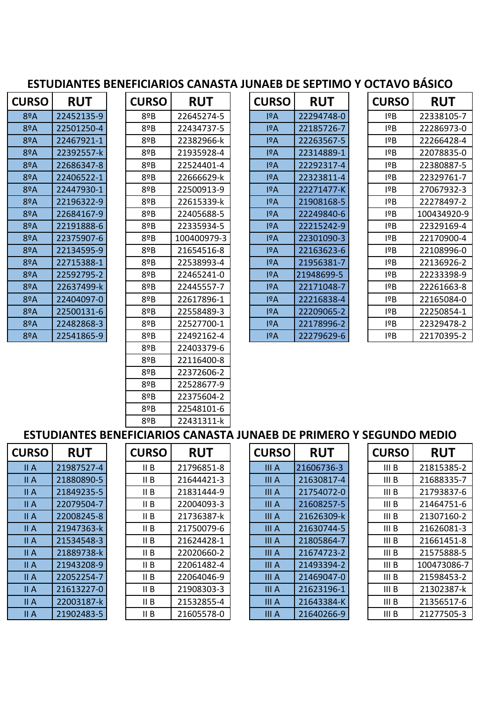## **ESTUDIANTES BENEFICIARIOS CANASTA JUNAEB DE SEPTIMO Y OCTAVO BÁSICO**

| <b>CURSO</b> | <b>RUT</b> |
|--------------|------------|
| 8ºA          | 22452135-9 |
| 8ºA          | 22501250-4 |
| 8ºA          | 22467921-1 |
| 8ºA          | 22392557-k |
| 8ºA          | 22686347-8 |
| 8ºA          | 22406522-1 |
| 8ºA          | 22447930-1 |
| 8ºA          | 22196322-9 |
| 8ºA          | 22684167-9 |
| 8ºA          | 22191888-6 |
| 8ºA          | 22375907-6 |
| 8ºA          | 22134595-9 |
| 8ºA          | 22715388-1 |
| 8ºA          | 22592795-2 |
| 8ºA          | 22637499-k |
| 8ºA          | 22404097-0 |
| 8ºA          | 22500131-6 |
| 8ºA          | 22482868-3 |
| 8ºA          | 22541865-9 |

| <b>CURSO</b>  | <b>RUT</b> | <b>CURSO</b> | <b>RUT</b>  | <b>CURSO</b>     | <b>RUT</b> | <b>CURSO</b> | <b>RUT</b>  |
|---------------|------------|--------------|-------------|------------------|------------|--------------|-------------|
| $8^{\circ}$ A | 22452135-9 | 8ºB          | 22645274-5  | 19A              | 22294748-0 | 19B          | 22338105-7  |
| $8^{\circ}$ A | 22501250-4 | $8^{\circ}B$ | 22434737-5  | 19A              | 22185726-7 | 1ºB          | 22286973-0  |
| 8ºA           | 22467921-1 | 8ºB          | 22382966-k  | I <sup>2</sup> A | 22263567-5 | 19B          | 22266428-4  |
| 8ºA           | 22392557-k | 8ºB          | 21935928-4  | 19A              | 22314889-1 | 1ºB          | 22078835-0  |
| $8^{\circ}$ A | 22686347-8 | 8ºB          | 22524401-4  | I <sup>2</sup> A | 22292317-4 | 1ºB          | 22380887-5  |
| $8^{\circ}$ A | 22406522-1 | 8ºB          | 22666629-k  | 19A              | 22323811-4 | 1ºB          | 22329761-7  |
| $8^{\circ}$ A | 22447930-1 | 8ºB          | 22500913-9  | 19A              | 22271477-K | 1ºB          | 27067932-3  |
| $8^{\circ}$ A | 22196322-9 | 8ºB          | 22615339-k  | 19A              | 21908168-5 | 1ºB          | 22278497-2  |
| 8ºA           | 22684167-9 | 8ºB          | 22405688-5  | 19A              | 22249840-6 | 19B          | 100434920-9 |
| $8^{\circ}$ A | 22191888-6 | 8ºB          | 22335934-5  | 19A              | 22215242-9 | 1ºB          | 22329169-4  |
| $8^{\circ}$ A | 22375907-6 | 8ºB          | 100400979-3 | 19A              | 22301090-3 | 1ºB          | 22170900-4  |
| $8^{\circ}$ A | 22134595-9 | 8ºB          | 21654516-8  | 19A              | 22163623-6 | 1ºB          | 22108996-0  |
| $8^{\circ}$ A | 22715388-1 | 8ºB          | 22538993-4  | 19A              | 21956381-7 | 1°B          | 22136926-2  |
| 8ºA           | 22592795-2 | 8ºB          | 22465241-0  | I <sup>2</sup> A | 21948699-5 | 19B          | 22233398-9  |
| $8^{\circ}$ A | 22637499-k | 8ºB          | 22445557-7  | 19A              | 22171048-7 | 1ºB          | 22261663-8  |
| $8^{\circ}$ A | 22404097-0 | 8ºB          | 22617896-1  | 19A              | 22216838-4 | 1ºB          | 22165084-0  |
| $8^{\circ}$ A | 22500131-6 | 8ºB          | 22558489-3  | 19A              | 22209065-2 | 19B          | 22250854-1  |
| 8ºA           | 22482868-3 | 8ºB          | 22527700-1  | I <sup>2</sup> A | 22178996-2 | 1ºB          | 22329478-2  |
| 8ºA           | 22541865-9 | 8ºB          | 22492162-4  | I <sup>2</sup> A | 22279629-6 | 1ºB          | 22170395-2  |
|               |            | 8ºB          | 22403379-6  |                  |            |              |             |
|               |            | $8^{\circ}B$ | 22116400-8  |                  |            |              |             |
|               |            | 8ºB          | 22372606-2  |                  |            |              |             |
|               |            | 8ºB          | 22528677-9  |                  |            |              |             |
|               |            | 8ºB          | 22375604-2  |                  |            |              |             |
|               |            | 8ºB          | 22548101-6  |                  |            |              |             |
|               |            | 8ºB          | 22431311-k  |                  |            |              |             |

| <b>CURSO</b> | <b>RUT</b> |
|--------------|------------|
| ΙºΑ          | 22294748-0 |
| ΙºΑ          | 22185726-7 |
| ΙºΑ          | 22263567-5 |
| ١ºΑ          | 22314889-1 |
| ١ºΑ          | 22292317-4 |
| ١ºΑ          | 22323811-4 |
| ١ºΑ          | 22271477-K |
| ١ºΑ          | 21908168-5 |
| ١ºΑ          | 22249840-6 |
| ١ºΑ          | 22215242-9 |
| ١ºΑ          | 22301090-3 |
| ١ºΑ          | 22163623-6 |
| ١ºΑ          | 21956381-7 |
| ΙºΑ          | 21948699-5 |
| ΙºΑ          | 22171048-7 |
| ١ºΑ          | 22216838-4 |
| ΙºΑ          | 22209065-2 |
| ١ºΑ          | 22178996-2 |
| ١ºΑ          | 22279629-6 |

| <b>JRSO</b> | <b>RUT</b> | <b>CURSO</b> | <b>RUT</b>  | <b>CURSO</b>     | <b>RUT</b> | <b>CURSO</b> | <b>RUT</b>  |
|-------------|------------|--------------|-------------|------------------|------------|--------------|-------------|
| 8ºA         | 22452135-9 | 8ºB          | 22645274-5  | 19A              | 22294748-0 | 1°B          | 22338105-7  |
| 8ºA         | 22501250-4 | 8ºB          | 22434737-5  | IºA              | 22185726-7 | 1°B          | 22286973-0  |
| 8ºA         | 22467921-1 | 8ºB          | 22382966-k  | 1ºA              | 22263567-5 | 1ºB          | 22266428-4  |
| 8ºA         | 22392557-k | 8ºB          | 21935928-4  | 1ºA              | 22314889-1 | ١ēΒ          | 22078835-0  |
| 8ºA         | 22686347-8 | 8ºB          | 22524401-4  | 1ºA              | 22292317-4 | 1°B          | 22380887-5  |
| 8ºA         | 22406522-1 | 8ºB          | 22666629-k  | 1ºA              | 22323811-4 | I¤B          | 22329761-7  |
| 8ºA         | 22447930-1 | $8^{\circ}B$ | 22500913-9  | 19A              | 22271477-K | 1ºB          | 27067932-3  |
| 8ºA         | 22196322-9 | 8ºB          | 22615339-k  | 1ºA              | 21908168-5 | ١ēΒ          | 22278497-2  |
| 8ºA         | 22684167-9 | $8^{\circ}B$ | 22405688-5  | 1ºA              | 22249840-6 | 1°B          | 100434920-9 |
| 8ºA         | 22191888-6 | 8ºB          | 22335934-5  | 1ºA              | 22215242-9 | ١ēΒ          | 22329169-4  |
| 8ºA         | 22375907-6 | 8ºB          | 100400979-3 | 1ºA              | 22301090-3 | ١ēΒ          | 22170900-4  |
| 8ºA         | 22134595-9 | 8ºB          | 21654516-8  | 19A              | 22163623-6 | 1ºB          | 22108996-0  |
| 8ºA         | 22715388-1 | 8ºB          | 22538993-4  | 1ºA              | 21956381-7 | ١ēΒ          | 22136926-2  |
| 8ºA         | 22592795-2 | 8ºB          | 22465241-0  | I <sup>2</sup> A | 21948699-5 | 1°B          | 22233398-9  |
| 8ºA         | 22637499-k | 8ºB          | 22445557-7  | 1ºA              | 22171048-7 | 1°B          | 22261663-8  |
| 8ºA         | 22404097-0 | $8^{\circ}B$ | 22617896-1  | 1ºA              | 22216838-4 | 1ºB          | 22165084-0  |
| 8ºA         | 22500131-6 | $8^{\circ}B$ | 22558489-3  | I <sup>2</sup> A | 22209065-2 | 1ºB          | 22250854-1  |
| 8ºA         | 22482868-3 | 8ºB          | 22527700-1  | IºA              | 22178996-2 | ١ēΒ          | 22329478-2  |
| 8ºA         | 22541865-9 | 8ºB          | 22492162-4  | I <sup>2</sup> A | 22279629-6 | 1ºB          | 22170395-2  |
|             |            |              |             |                  |            |              |             |

## **ESTUDIANTES BENEFICIARIOS CANASTA JUNAEB DE PRIMERO Y SEGUNDO MEDIO**

| <b>CURSO</b> | <b>RUT</b> | <b>CURSO</b> | <b>RUT</b> | <b>CURSO</b> | <b>RUT</b> | <b>CURSO</b>     | <b>RUT</b>  |
|--------------|------------|--------------|------------|--------------|------------|------------------|-------------|
| II A         | 21987527-4 | II B         | 21796851-8 | III A        | 21606736-3 | III <sub>B</sub> | 21815385-2  |
| II A         | 21880890-5 | II B         | 21644421-3 | III A        | 21630817-4 | III B            | 21688335-7  |
| II A         | 21849235-5 | II B         | 21831444-9 | III A        | 21754072-0 | III B            | 21793837-6  |
| II A         | 22079504-7 | II B         | 22004093-3 | III A        | 21608257-5 | III B            | 21464751-6  |
| II A         | 22008245-8 | II B         | 21736387-k | <b>III</b> A | 21626309-k | III <sub>B</sub> | 21307160-2  |
| II A         | 21947363-k | II B         | 21750079-6 | III A        | 21630744-5 | III B            | 21626081-3  |
| II A         | 21534548-3 | II B         | 21624428-1 | III A        | 21805864-7 | III B            | 21661451-8  |
| II A         | 21889738-k | II B         | 22020660-2 | III A        | 21674723-2 | III B            | 21575888-5  |
| II A         | 21943208-9 | II B         | 22061482-4 | III A        | 21493394-2 | III <sub>B</sub> | 100473086-7 |
| II A         | 22052254-7 | II B         | 22064046-9 | III A        | 21469047-0 | III <sub>B</sub> | 21598453-2  |
| II A         | 21613227-0 | II B         | 21908303-3 | III A        | 21623196-1 | III B            | 21302387-k  |
| II A         | 22003187-k | II B         | 21532855-4 | III A        | 21643384-K | III B            | 21356517-6  |
| II A         | 21902483-5 | II B         | 21605578-0 | <b>III</b> A | 21640266-9 | III B            | 21277505-3  |